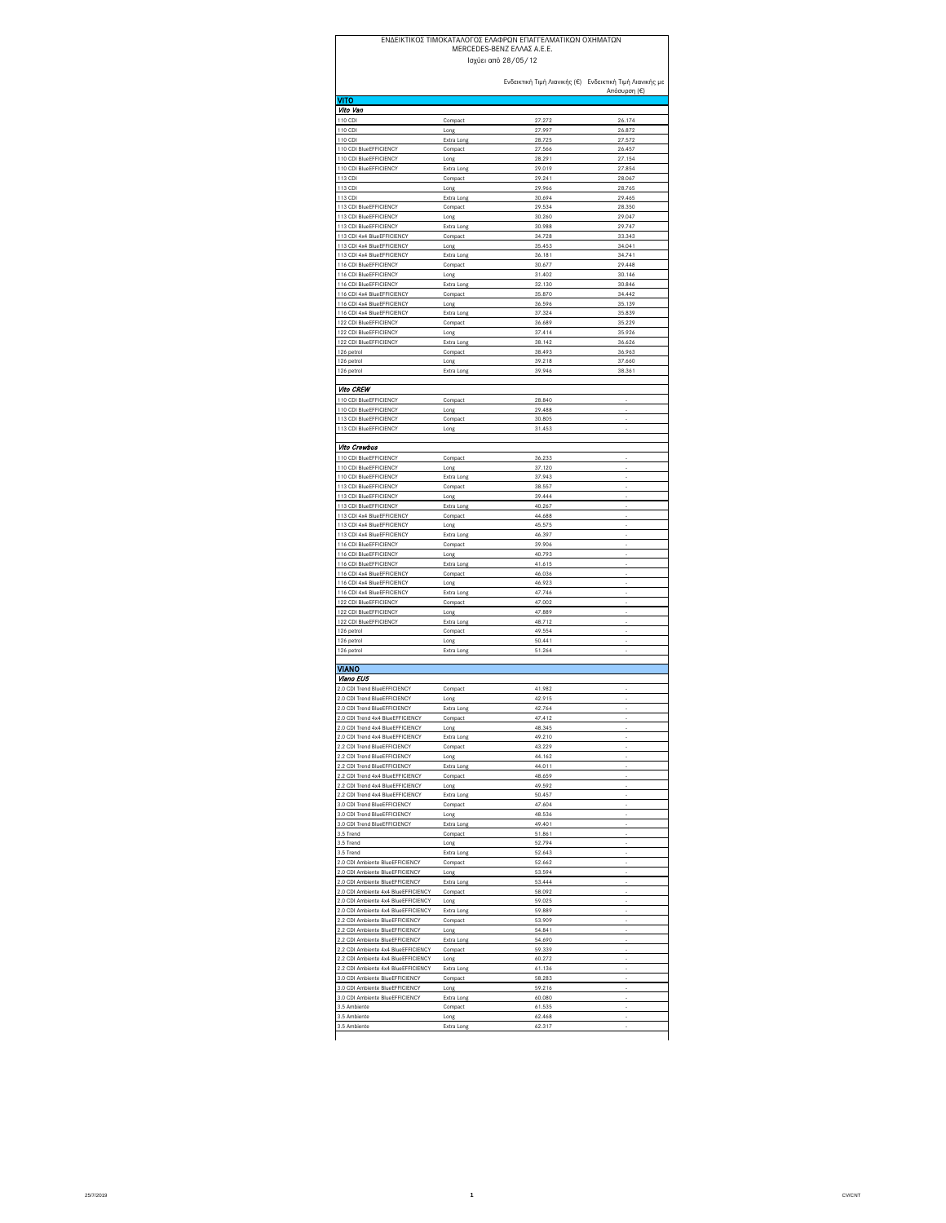## ΕΝΔΕΙΚΤΙΚΟΣ ΤΙΜOΚΑΤΑΛΟΓΟΣ ΕΛΑΦΡΩΝ ΕΠΑΓΓΕΛΜΑΤΙΚΩΝ ΟΧΗΜΑΤΩΝ MERCEDES-BENZ ΕΛΛΑΣ Α.Ε.Ε.

Ενδεικτική Τιμή Λιανικής (€) Ενδεικτική Τιμή Λιανικής με  $n(€)$ <mark>VITO</mark><br>*Vito Van* 110 CDI Compact 27.272 26.174 110 CDI Long 27.997 26.872 110 CDI Extra Long 28.725 27.572 110 CDI BlueEFFICIENCY Compact 27.566 26.45<br>110 CDI BlueEFFICIENCY Long 28.291 27.15 120 Constitution Computer Computer Computer Constitution Computer Computer Computer Computer Computer Computer<br>10 CDI BlueEFFICIENCY Long 28.291 27.154 110 CDI BlueEFFICIENCY Extra Long 29.019 27.854<br>113 CDI Compact 29.241 28.067 113 CDI Compact 29.241 28.067 113 CDI Long 29.966 28.765 113 CDI Extra Long 30.694 29.465 113 CDI BlueEFFICIENCY Compact 29.534 28.350 113 CDI BlueEFFICIENCY Long 29.047<br>113 CDI BlueEFFICIENCY Extra Long 30.988 29.747 113 CDI BlueEFFICIENCY Extra Long 30.988 29.747<br>113 CDI 4x4 BlueEFFICIENCY Compact 34.728 33.343 113 CDI 4x4 BlueEFFICIENC 113 CDI 4x4 BlueEFFICIENCY Long 35.453 34.041 113 CDI 4x4 BlueEFFICIENCY Extra Long 36.181 34.741<br>116 CDI BlueEFFICIENCY Compact 30.677 29.448 116 CDI BlueEFFICIENCY Compact 116 CDI BlueEFFICIENCY Long 31.402 30.146 116 CDI BlueEFFICIENCY Extra Long 32.130<br>116 CDI 4x4 BlueEFFICIENCY Compact 35.870 116 CDI 4x4 BlueEFFICIENCY Compact 35.870 34.442 116 CDI 4x4 BlueEFFICIENCY Long 36.596 35.139 16 CDI 4x4 BlueEFFICIEN 122 CDI BlueEFFICIENCY Compact 36.689 35.229<br>122 CDI BlueEFFICIENCY Long 37.41 35.926<br>122 CDI BlueEFFICIENCY Long 38.142 36.626 122 CDI BlueEFFICIENCY Long 37.414 35.926 122 CDI BlueEFFICIENCY Extra Long 38.142 36.626 126 petrol Compact 38.493 36.963 126 petrol Long 39.218 37.660 126 petrol Extra Long 39.946 38.361 **Vito CREW** 110 CDI BlueEFFICIENCY Compact 28.840 - 110 CDI BlueEFFICIENCY Long Long 29.488 13 CDI BlueEFFICIENC 13 CDI BlueEFFICIENCY Long 21.453 Vito Crewbus 10 CDI BlueEFFICIENCY Compact 36.233<br>10 CDI BlueEFFICIENCY Long 37.120 110 CDI BlueEFFICIENCY Long 10 CDI BlueEFFICIENCY Extra Long 37.943 113 CDI BlueEFFICIENCY Compact 38.557<br>113 CDI BlueEFFICIENCY Long 39.444 113 CDI BlueEFFICIENCY 113 CDI BlueEFFICIENCY Extra Long 40.267 113 CDI 4x4 BlueEFFICIENCY Compact 44.688 13 CDI 4x4 BlueEFFICIEN 113 CDI 4x4 BlueEFFICIENCY Extra Long 46.397 - 116 CDI BlueEFFICIENCY Compact 29.906 - 20.000 - 20.000 - 20.000 - 20.000 - 20.000 - 20.000 - 20.000 - 20.00<br>- 116 CDI BlueEFFICIENCY Long 40.793 - 20.000 - 20.000 - 20.000 - 20.000 - 20.000 - 20.000 - 20.000 - 20.000 -116 CDI BlueEFFICIENCY Extra Long 41.615 - 116 CDI 4x4 BlueEFFICIENCY Compact 46.036 -<br>116 CDI 4x4 BlueEFFICIENCY Long 46.923 -116 CDI 4x4 BlueEFFICIENCY Extra Long 47.746 - 22 CDI BlueEFFICIENCY Compact 22 CDI BlueEFFICIENCY Long 47.889 122 CDI BlueEFFICIENCY Extra Long 48.712 126 petrol Compact 49.554 - 126 petrol **Long Long 50.441** - The set of the set of the set of the set of the set of the set of the set of the set of the set of the set of the set of the set of the set of the set of the set of the set of the set of the 126 petrol **Extra Long 51.264** - 51.264 - 51.264 - 51.264 - 51.264 - 51.264 - 51.264 - 51.264 - 51.264 - 51.264 - 51.264 - 51.264 - 51.264 - 51.264 - 51.264 - 51.264 - 51.264 - 51.264 - 51.264 - 51.264 - 51.264 - 51.264 - VIANO Viano EU5 2.0 CDI Trend BlueEFFICIENCY Compact 41.982 2.0 CDI Trend BlueEFFICIENCY Long 42.915<br>2.0 CDI Trend BlueEFFICIENCY Extra Long 42.764 2.0 CDI Trend BlueEFFICIENCY 2.0 CDI Trend 4x4 BlueEFFICIENCY Compact 47.412 2.0 CDI Trend 4x4 BlueEFFICIENCY Long 48.345 - 2.0 CDI Trend 4x4 BlueEFFICIENCY Extra Long 49.210 - 2.2 CDI Trend BlueEFFICIENCY Compact 43.229 - 2.2 CDI Trend BlueEFFICIENCY Long Long 44.162<br>2.2 CDI Trend BlueEFFICIENCY Fxtra Long 44.011 2 CDI Trend BlueEFFICIENCY 2.2 CDI Trend 4x4 BlueEFFICIENCY Compact 48.659 2.2 CDI Trend 4x4 BlueEFFICIENCY Long 49.592 - 2.2 CDI Trend 4x4 BlueEFFICIENCY Extra Long 50.457 - 3.0 CDI Trend BlueEFFICIENCY Compact 47.604<br>3.0 CDI Trend BlueEFFICIENCY Long 48.536<br>3.0 CDI Trend BlueEFFICIENCY Extra Long 49.401 3.0 CDI Trend BlueEFFICIENCY 0 CDI Trend BlueEFFICIENC 3.5 Trend Compact 51.861 - 3.5 Trend 2008 - Example 2009 - Long 2008 - Example 2014 - S2.794 - Example 2014 - Example 2014 - Example 2014 3.5 Trend Extra Long Extra Long 52.643<br>2.0 CDI Ambiente BlueEFFICIENCY Compact 52.662 2.0 CDI Ambiente BlueEFFICIENCY Compact COMPACT 52.662<br>2.0 CDI Ambiente BlueEFFICIENCY Long 53.594 2.0 CDI Ambiente BlueEFFICIENCY Long 2.0 CDI Ambiente BlueEFFICIENCY Extra Long 53.444<br>2.0 CDI Ambiente 4x4 BlueEFFICIENCY Compact 58.092 2.0 CDI Ambiente 4x4 BlueEFFICIENCY - Compact 2.0 CDI Ambiente 4x4 BlueEFFICIENCY Long 59.025 2.0 CDI Ambiente 4x4 BlueEFFICIENCY Extra Long 59.889 - 59.889<br>2.2 CDI Ambiente BlueEFFICIENCY - Compact - 53.909 - 53.909 2.2 CDI Ambiente BlueEFFICIENCY Ισχύει από 28/05/12

2.2 CDI Ambiente BlueEFFICIENCY Long 54.841 2.2 CDI Ambiente BlueEFFICIENCY Extra Long 54.690<br>2.2 CDI Ambiente 4x4 BlueEFFICIENCY Compact 59.339

2.2 CDI Ambiente 4x4 BlueEFFICIENCY Long 60.272 2.2 CDI Ambiente 4x4 BlueEFFICIENCY Extra Long 61.136 - 61.136<br>2.0 CDI Ambiente BlueEFFICIENCY - Compact 58.283

3.0 CDI Ambiente BlueEFFICIENCY Long 59.216

3.5 Ambiente Extra Long 62.317

3.0 CDI Ambiente BlueEFFICIENCY Extra Long 60.080 - 3.5 Ambiente Compact 61.535 - 3.5 Ambiente Long 62.468 -

2.2 CDI Ambiente 4x4 BlueEFFICIEN

.0 CDI Ambiente BlueEFFICIENCY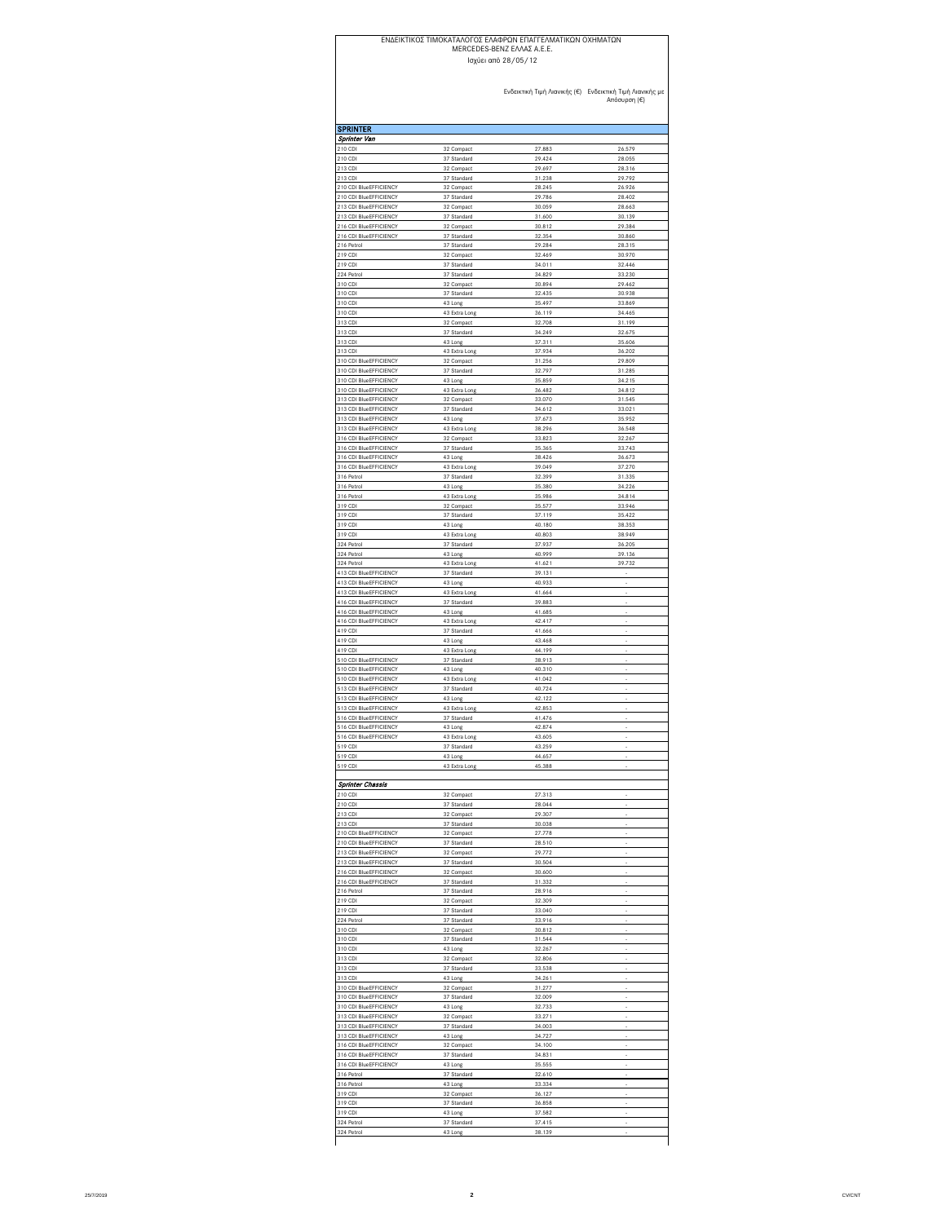## ΕΝΔΕΙΚΤΙΚΟΣ ΤΙΜOΚΑΤΑΛΟΓΟΣ ΕΛΑΦΡΩΝ ΕΠΑΓΓΕΛΜΑΤΙΚΩΝ ΟΧΗΜΑΤΩΝ Ισχύει από 28/05/12 MERCEDES-BENZ ΕΛΛΑΣ Α.Ε.Ε.

Ενδεικτική Τιμή Λιανικής (€) Ενδεικτική Τιμή Λιανικής με Απόσυρση (€)

| <b>SPRINTER</b>                                  |                              |                  |                  |
|--------------------------------------------------|------------------------------|------------------|------------------|
| Sprinter Van                                     |                              |                  |                  |
| 210 CDI                                          | 32 Compact                   | 27.883<br>29.424 | 26.579<br>28.055 |
| 210 CDI<br>213 CDI                               | 37 Standard<br>32 Compact    | 29.697           | 28.316           |
| 213 CDI                                          | 37 Standard                  | 31.238           | 29.792           |
| 210 CDI BlueEFFICIENCY                           | 32 Compact                   | 28.245           | 26 926           |
| 210 CDI BlueEFFICIENCY<br>213 CDI BlueEFFICIENCY | 37 Standard<br>32 Compact    | 29.786<br>30.059 | 28.402<br>28.663 |
| 213 CDI BlueEFFICIENCY                           | 37 Standard                  | 31.600           | 30.139           |
| 216 CDI BlueEFFICIENCY                           | 32 Compact                   | 30.812           | 29.384           |
| 216 CDI BlueEFFICIENCY                           | 37 Standard                  | 32.354           | 30.860           |
| 216 Petrol<br>219 CDI                            | 37 Standard<br>32 Compact    | 29.284<br>32.469 | 28.315<br>30.970 |
| 219 CDI                                          | 37 Standard                  | 34.011           | 32.446           |
| 224 Petrol                                       | 37 Standard                  | 34.829           | 33.230           |
| 310 CDI                                          | 32 Compact                   | 30.894           | 29.462           |
| 310 CDI<br>310 CDI                               | 37 Standard<br>43 Long       | 32.435<br>35.497 | 30.938<br>33 869 |
| 310 CDI                                          | 43 Extra Long                | 36.119           | 34 465           |
| 313 CDI                                          | 32 Compact                   | 32.708           | 31.199           |
| 313 CDI                                          | 37 Standard                  | 34.249           | 32.675           |
| 313 CDI<br>313 CDI                               | 43 Long<br>43 Extra Long     | 37.311<br>37.934 | 35.606<br>36.202 |
| 310 CDI BlueEFFICIENCY                           | 32 Compact                   | 31.256           | 29.809           |
| 310 CDI BlueEFFICIENCY                           | 37 Standard                  | 32.797           | 31.285           |
| 310 CDI BlueEFFICIENCY                           | 43 Long                      | 35.859           | 34.215           |
| 310 CDI BlueEFFICIENCY<br>313 CDI BlueEFFICIENCY | 43 Extra Long<br>32 Compact  | 36.482<br>33.070 | 34.812<br>31.545 |
| 313 CDI BlueEFFICIENCY                           | 37 Standard                  | 34.612           | 33.021           |
| 313 CDI BlueEFFICIENCY                           | 43 Long                      | 37.673           | 35.952           |
| 313 CDI BlueEFFICIENCY                           | 43 Extra Long                | 38.296           | 36.548           |
| 316 CDI BlueEFFICIENCY<br>316 CDI BlueEFFICIENCY | 32 Compact<br>37 Standard    | 33.823<br>35.365 | 32.267<br>33.743 |
| 316 CDI BlueEFFICIENCY                           | 43 Long                      | 38.426           | 36.673           |
| 316 CDI BlueEFFICIENCY                           | 43 Extra Long                | 39.049           | 37.270           |
| 316 Petrol                                       | 37 Standard                  | 32.399           | 31.335           |
| 316 Petrol<br>316 Petrol                         | 43 Long<br>43 Extra Long     | 35,380<br>35.986 | 34.226<br>34.814 |
| 319 CDI                                          | 32 Compact                   | 35.577           | 33.946           |
| 319 CDI                                          | 37 Standard                  | 37.119           | 35.422           |
| 319 CDI                                          | 43 Long                      | 40.180           | 38.353           |
| 319 CDI<br>324 Petrol                            | 43 Extra Long<br>37 Standard | 40.803<br>37.937 | 38.949<br>36.205 |
| 324 Petrol                                       | 43 Long                      | 40.999           | 39.136           |
| 324 Petrol                                       | 43 Extra Long                | 41.621           | 39.732           |
| 413 CDI BlueEFFICIENCY                           | 37 Standard                  | 39.131           |                  |
| 413 CDI BlueEFFICIENCY<br>413 CDI BlueEFFICIENCY | 43 Long<br>43 Extra Long     | 40.933<br>41.664 |                  |
| 416 CDI BlueEFFICIENCY                           | 37 Standard                  | 39,883           |                  |
| 416 CDI BlueEFFICIENCY                           | 43 Long                      | 41.685           |                  |
| 416 CDI BlueEFFICIENCY                           | 43 Extra Long                | 42.417           |                  |
| 419 CDI<br>419 CDI                               | 37 Standard<br>43 Long       | 41.666<br>43.468 |                  |
| 419 CDI                                          | 43 Extra Long                | 44.199           |                  |
| 510 CDI BlueEFFICIENCY                           | 37 Standard                  | 38.913           |                  |
| 510 CDI BlueEFFICIENCY                           | 43 Long                      | 40.310           |                  |
| 510 CDI BlueEFFICIENCY<br>513 CDI BlueEFFICIENCY | 43 Extra Long<br>37 Standard | 41.042<br>40.724 |                  |
| 513 CDI BlueEFFICIENCY                           | 43 Long                      | 42.122           |                  |
| 513 CDI BlueEFFICIENCY                           | 43 Extra Long                | 42.853           |                  |
| 516 CDI BlueEFFICIENCY<br>516 CDI BlueEFFICIENCY | 37 Standard<br>43 Long       | 41.476<br>42.874 |                  |
| 516 CDI BlueEFFICIENCY                           | 43 Extra Long                | 43.605           |                  |
| 519 CDI                                          | 37 Standard                  | 43.259           |                  |
| 519 CDI                                          | 43 Long                      | 44.657           |                  |
| 519 CDI                                          | 43 Extra Long                | 45.388           |                  |
| <b>Sprinter Chassis</b>                          |                              |                  |                  |
| 210 CDI                                          | 32 Compact                   | 27.313           |                  |
| 210 CDI                                          | 37 Standard                  | 28.044           |                  |
| 213 CDI<br>213 CDI                               | 32 Compact<br>37 Standard    | 29.307<br>30.038 |                  |
| 210 CDI BlueEFFICIENCY                           | 32 Compact                   | 27.778           |                  |
| 210 CDI BlueEFFICIENCY                           | 37 Standard                  | 28.510           |                  |
| 213 CDI BlueEFFICIENCY                           | 32 Compact                   | 29 772           |                  |
| 213 CDI BlueEFFICIENCY<br>216 CDI BlueEFFICIENCY | 37 Standard<br>32 Compact    | 30.504<br>30.600 |                  |
| 216 CDI BlueEFFICIENCY                           | 37 Standard                  | 31.332           |                  |
| 216 Petrol                                       | 37 Standard                  | 28.916           |                  |
| 219 CDI                                          | 32 Compact                   | 32.309           |                  |
| 219 CDI                                          | 37 Standard                  | 33.040           |                  |
| 224 Petrol<br>310 CDI                            | 37 Standard<br>32 Compact    | 33.916<br>30.812 |                  |
| 310 CDI                                          | 37 Standard                  | 31,544           |                  |
| 310 CDI                                          | 43 Long                      | 32.267           |                  |
| 313 CDI                                          | 32 Compact                   | 32.806           |                  |
| 313 CDI<br>313 CDI                               | 37 Standard<br>43 Long       | 33.538<br>34.261 |                  |
| 310 CDI BlueEFFICIENCY                           | 32 Compact                   | 31.277           |                  |
| 310 CDI BlueEFFICIENCY                           | 37 Standard                  | 32.009           |                  |
| 310 CDI BlueEFFICIENCY                           | 43 Long                      | 32.733           |                  |
| 313 CDI BlueEFFICIENCY<br>313 CDI BlueEFFICIENCY | 32 Compact<br>37 Standard    | 33.271<br>34.003 |                  |
| 313 CDI BlueEFFICIENCY                           | 43 Long                      | 34.727           |                  |
| 316 CDI BlueEFFICIENCY                           | 32 Compact                   | 34.100           |                  |
| 316 CDI BlueEFFICIENCY                           | 37 Standard                  | 34.831           |                  |
| 316 CDI BlueEFFICIENCY<br>316 Petrol             | 43 Long<br>37 Standard       | 35.555<br>32.610 |                  |
| 316 Petrol                                       | 43 Long                      | 33.334           |                  |
| 319 CDI                                          | 32 Compact                   | 36.127           |                  |
| 319 CDI                                          | 37 Standard                  | 36.858           |                  |
| 319 CDI<br>324 Petrol                            | 43 Long                      | 37.582<br>37.415 |                  |
| 324 Petrol                                       | 37 Standard<br>43 Long       | 38.139           |                  |